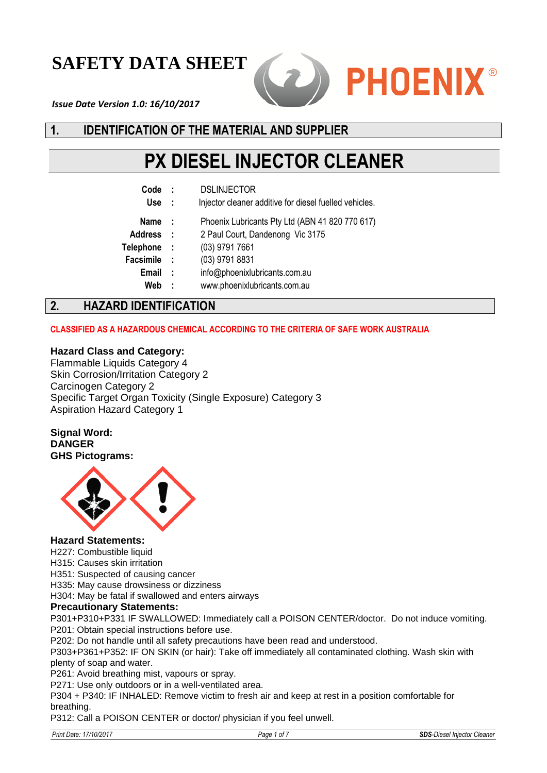# **SAFETY DATA SHEET**



*Issue Date Version 1.0: 16/10/2017*

# **1. IDENTIFICATION OF THE MATERIAL AND SUPPLIER**

# **PX DIESEL INJECTOR CLEANER**

| Code             | ÷   | <b>DSLINJECTOR</b>                                     |
|------------------|-----|--------------------------------------------------------|
| <b>Use</b>       | ÷   | Injector cleaner additive for diesel fuelled vehicles. |
| <b>Name</b>      | - 1 | Phoenix Lubricants Pty Ltd (ABN 41 820 770 617)        |
| <b>Address</b>   | - 1 | 2 Paul Court, Dandenong Vic 3175                       |
| <b>Telephone</b> | - 1 | (03) 9791 7661                                         |
| <b>Facsimile</b> | - 1 | (03) 9791 8831                                         |
| Email            | - 1 | info@phoenixlubricants.com.au                          |
| Web              | ÷   | www.phoenixlubricants.com.au                           |
|                  |     |                                                        |

# **2. HAZARD IDENTIFICATION**

#### **CLASSIFIED AS A HAZARDOUS CHEMICAL ACCORDING TO THE CRITERIA OF SAFE WORK AUSTRALIA**

#### **Hazard Class and Category:**

Flammable Liquids Category 4 Skin Corrosion/Irritation Category 2 Carcinogen Category 2 Specific Target Organ Toxicity (Single Exposure) Category 3 Aspiration Hazard Category 1

**Signal Word: DANGER GHS Pictograms:**



#### **Hazard Statements:**

H227: Combustible liquid

H315: Causes skin irritation

H351: Suspected of causing cancer

H335: May cause drowsiness or dizziness

H304: May be fatal if swallowed and enters airways

#### **Precautionary Statements:**

P301+P310+P331 IF SWALLOWED: Immediately call a POISON CENTER/doctor. Do not induce vomiting. P201: Obtain special instructions before use.

P202: Do not handle until all safety precautions have been read and understood.

P303+P361+P352: IF ON SKIN (or hair): Take off immediately all contaminated clothing. Wash skin with plenty of soap and water.

P261: Avoid breathing mist, vapours or spray.

P271: Use only outdoors or in a well-ventilated area.

P304 + P340: IF INHALED: Remove victim to fresh air and keep at rest in a position comfortable for breathing.

P312: Call a POISON CENTER or doctor/ physician if you feel unwell.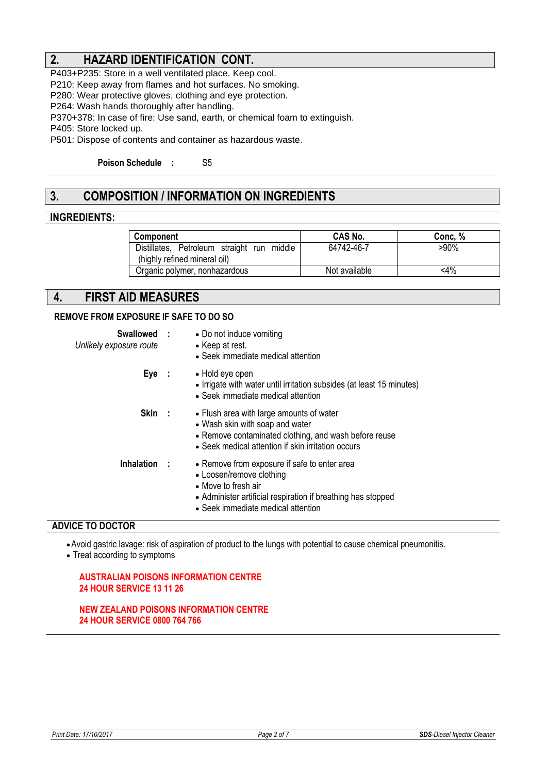# **2. HAZARD IDENTIFICATION CONT.**

P403+P235: Store in a well ventilated place. Keep cool.

P210: Keep away from flames and hot surfaces. No smoking.

P280: Wear protective gloves, clothing and eye protection.

P264: Wash hands thoroughly after handling.

P370+378: In case of fire: Use sand, earth, or chemical foam to extinguish.

P405: Store locked up.

P501: Dispose of contents and container as hazardous waste.

**Poison Schedule :** S5

# **3. COMPOSITION / INFORMATION ON INGREDIENTS**

#### **INGREDIENTS:**

| <b>Component</b>                           | <b>CAS No.</b> | Conc. % |
|--------------------------------------------|----------------|---------|
| Distillates, Petroleum straight run middle | 64742-46-7     | >90%    |
| (highly refined mineral oil)               |                |         |
| Organic polymer, nonhazardous              | Not available  | $<$ 4%  |

#### **4. FIRST AID MEASURES**

#### **REMOVE FROM EXPOSURE IF SAFE TO DO SO**

| Swallowed :<br>Unlikely exposure route | • Do not induce vomiting<br>• Keep at rest.<br>• Seek immediate medical attention                                                                                                                     |
|----------------------------------------|-------------------------------------------------------------------------------------------------------------------------------------------------------------------------------------------------------|
| Eye :                                  | • Hold eye open<br>• Irrigate with water until irritation subsides (at least 15 minutes)<br>• Seek immediate medical attention                                                                        |
| Skin:                                  | • Flush area with large amounts of water<br>• Wash skin with soap and water<br>• Remove contaminated clothing, and wash before reuse<br>• Seek medical attention if skin irritation occurs            |
| <b>Inhalation</b>                      | • Remove from exposure if safe to enter area<br>• Loosen/remove clothing<br>• Move to fresh air<br>• Administer artificial respiration if breathing has stopped<br>• Seek immediate medical attention |

#### **ADVICE TO DOCTOR**

Avoid gastric lavage: risk of aspiration of product to the lungs with potential to cause chemical pneumonitis.

Treat according to symptoms

#### **AUSTRALIAN POISONS INFORMATION CENTRE 24 HOUR SERVICE 13 11 26**

**NEW ZEALAND POISONS INFORMATION CENTRE 24 HOUR SERVICE 0800 764 766**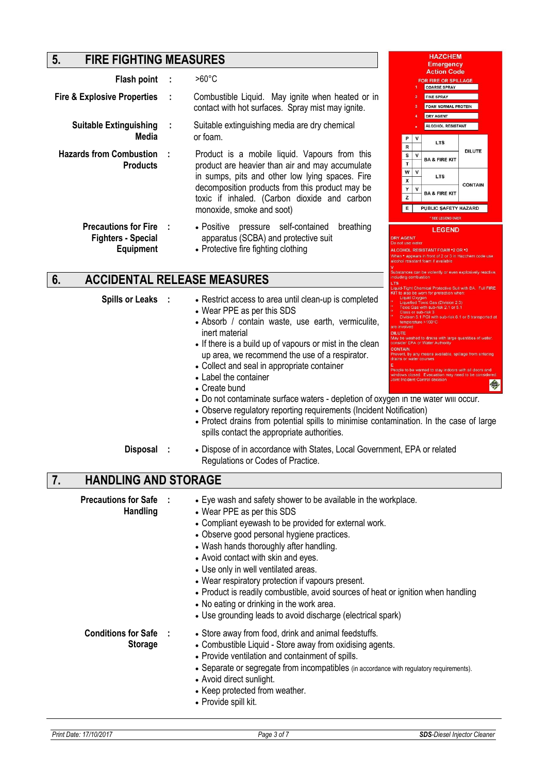# **5. FIRE FIGHTING MEASURES**

|                                                                              |                                                                                                                                                    |                                                                                                                                   |                                                                                                                                                                                       |              | Emergency                                                                |                |
|------------------------------------------------------------------------------|----------------------------------------------------------------------------------------------------------------------------------------------------|-----------------------------------------------------------------------------------------------------------------------------------|---------------------------------------------------------------------------------------------------------------------------------------------------------------------------------------|--------------|--------------------------------------------------------------------------|----------------|
| Flash point                                                                  | - 1                                                                                                                                                | $>60^{\circ}$ C                                                                                                                   |                                                                                                                                                                                       |              | <b>Action Code</b><br><b>FOR FIRE OR SPILLAGE</b><br><b>COARSE SPRAY</b> |                |
| <b>Fire &amp; Explosive Properties</b>                                       | - 1                                                                                                                                                | Combustible Liquid. May ignite when heated or in<br>contact with hot surfaces. Spray mist may ignite.                             |                                                                                                                                                                                       |              | <b>FINE SPRAY</b><br><b>FOAM NORMAL PROTEIN</b><br><b>DRY AGENT</b>      |                |
| <b>Suitable Extinguishing</b><br>Media                                       |                                                                                                                                                    | Suitable extinguishing media are dry chemical<br>or foam.                                                                         | P                                                                                                                                                                                     | v            | <b>ALCOHOL RESISTANT</b><br><b>LTS</b>                                   |                |
| <b>Hazards from Combustion</b><br><b>Products</b>                            |                                                                                                                                                    | Product is a mobile liquid. Vapours from this<br>product are heavier than air and may accumulate                                  | R<br>s<br>T.                                                                                                                                                                          | $\mathsf{V}$ | <b>BA &amp; FIRE KIT</b>                                                 | <b>DILUTE</b>  |
|                                                                              | in sumps, pits and other low lying spaces. Fire<br>decomposition products from this product may be<br>toxic if inhaled. (Carbon dioxide and carbon |                                                                                                                                   | w<br>X<br>Υ<br>z                                                                                                                                                                      | v<br>v       | <b>LTS</b><br><b>BA &amp; FIRE KIT</b>                                   | <b>CONTAIN</b> |
|                                                                              |                                                                                                                                                    | monoxide, smoke and soot)                                                                                                         | E                                                                                                                                                                                     |              | <b>PUBLIC SAFETY HAZARD</b><br>* SEE LEGEND OVER                         |                |
| <b>Precautions for Fire</b><br><b>Fighters - Special</b><br><b>Equipment</b> |                                                                                                                                                    | pressure self-contained<br>• Positive<br>breathing<br>apparatus (SCBA) and protective suit<br>• Protective fire fighting clothing | <b>LEGEND</b><br><b>DRY AGENT</b><br>Do not use water<br>ALCOHOL RESISTANT FOAM . 2 OR .3<br>When • appears in front of 2 or 3 in Hazchem code<br>alcohol resistant foam if available |              |                                                                          |                |

# **6. ACCIDENTAL RELEASE MEASURES**

|                                                |                                                                                                                                                                                                                                                                                                                                                                                                                                                                                                                                                                                                                                                                         | . 15<br>Liquid-Tight Chemical Protective Suit with BA. Full FIRE                                                                                                                                                                                                                                                                                                                                                                                                                                                                                                                        |
|------------------------------------------------|-------------------------------------------------------------------------------------------------------------------------------------------------------------------------------------------------------------------------------------------------------------------------------------------------------------------------------------------------------------------------------------------------------------------------------------------------------------------------------------------------------------------------------------------------------------------------------------------------------------------------------------------------------------------------|-----------------------------------------------------------------------------------------------------------------------------------------------------------------------------------------------------------------------------------------------------------------------------------------------------------------------------------------------------------------------------------------------------------------------------------------------------------------------------------------------------------------------------------------------------------------------------------------|
| <b>Spills or Leaks</b>                         | • Restrict access to area until clean-up is completed<br>• Wear PPE as per this SDS<br>• Absorb / contain waste, use earth, vermiculite,<br>inert material<br>• If there is a build up of vapours or mist in the clean<br>up area, we recommend the use of a respirator.<br>• Collect and seal in appropriate container<br>• Label the container<br>• Create bund<br>. Do not contaminate surface waters - depletion of oxygen in the water will occur.<br>• Observe regulatory reporting requirements (Incident Notification)<br>• Protect drains from potential spills to minimise contamination. In the case of large<br>spills contact the appropriate authorities. | KIT to also be worn for protection when:<br>Liquid Oxygen<br><b>Liquefied Toxic Gas (Division 2.3)</b><br>Toxic Gas with sub-risk 2.1 or 5.1<br>Class or sub-risk 3<br>Division 5.1 PGI with sub-risk 6.1 or 8 transported a<br>temperature >100°C<br>ire involved<br><b>DILUTE</b><br>May be washed to drains with large quantities of wate<br>onsider EPA or Water Authority<br>Prevent, by any means available, spillage from entering<br>rains or water courses<br>eople to be warned to stay indoors with all doors and<br>ndows closed. Evacuation may need to be considered<br>今 |
| <b>Disposal</b>                                | • Dispose of in accordance with States, Local Government, EPA or related<br>Regulations or Codes of Practice.                                                                                                                                                                                                                                                                                                                                                                                                                                                                                                                                                           |                                                                                                                                                                                                                                                                                                                                                                                                                                                                                                                                                                                         |
| <b>HANDLING AND STORAGE</b><br>7.              |                                                                                                                                                                                                                                                                                                                                                                                                                                                                                                                                                                                                                                                                         |                                                                                                                                                                                                                                                                                                                                                                                                                                                                                                                                                                                         |
| <b>Precautions for Safe</b><br><b>Handling</b> | • Eye wash and safety shower to be available in the workplace.<br>• Wear PPE as per this SDS<br>• Compliant eyewash to be provided for external work.<br>• Observe good personal hygiene practices.<br>• Wash hands thoroughly after handling.<br>• Avoid contact with skin and eyes.<br>• Use only in well ventilated areas.<br>• Wear respiratory protection if vapours present.<br>• Product is readily combustible, avoid sources of heat or ignition when handling<br>• No eating or drinking in the work area.<br>• Use grounding leads to avoid discharge (electrical spark)                                                                                     |                                                                                                                                                                                                                                                                                                                                                                                                                                                                                                                                                                                         |
| <b>Conditions for Safe</b><br><b>Storage</b>   | • Store away from food, drink and animal feedstuffs.<br>• Combustible Liquid - Store away from oxidising agents.<br>• Provide ventilation and containment of spills.<br>• Separate or segregate from incompatibles (in accordance with regulatory requirements).<br>• Avoid direct sunlight.<br>• Keep protected from weather.<br>• Provide spill kit.                                                                                                                                                                                                                                                                                                                  |                                                                                                                                                                                                                                                                                                                                                                                                                                                                                                                                                                                         |

**HAZCHEM** 

stances can be violently or even explosively reactive<br>uding combustion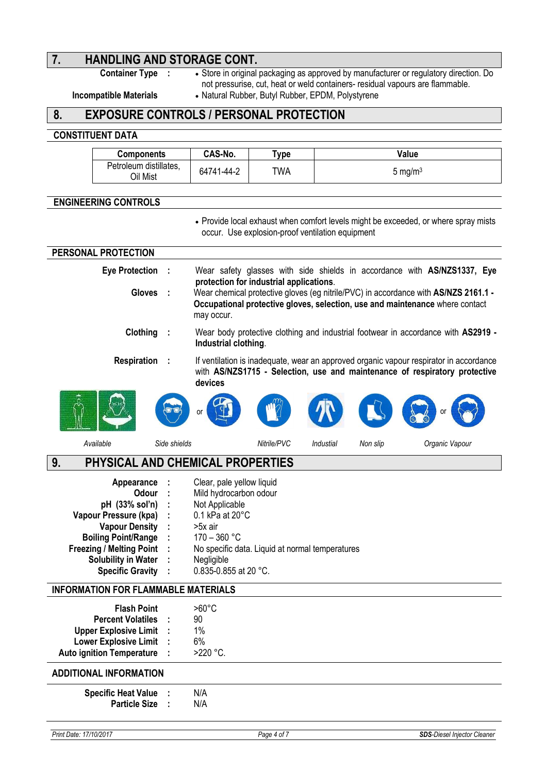# **7. HANDLING AND STORAGE CONT.**<br>Container Type : • Store in original

**·** Store in original packaging as approved by manufacturer or regulatory direction. Do not pressurise, cut, heat or weld containers- residual vapours are flammable.

**Incompatible Materials • Natural Rubber, Butyl Rubber, EPDM, Polystyrene** 

## **8. EXPOSURE CONTROLS / PERSONAL PROTECTION**

#### **CONSTITUENT DATA**

| Components                         | CAS-No.    | Type.      | Value      |
|------------------------------------|------------|------------|------------|
| Petroleum distillates,<br>Oil Mist | 64741-44-2 | <b>TWA</b> | 5 mg/m $3$ |

#### **ENGINEERING CONTROLS**

l.

 $\overline{\phantom{a}}$ 

• Provide local exhaust when comfort levels might be exceeded, or where spray mists occur. Use explosion-proof ventilation equipment

| PERSONAL PROTECTION                                                                                                                                                                                               |              |                                                                                                                                                                                                                 |
|-------------------------------------------------------------------------------------------------------------------------------------------------------------------------------------------------------------------|--------------|-----------------------------------------------------------------------------------------------------------------------------------------------------------------------------------------------------------------|
| <b>Eye Protection</b>                                                                                                                                                                                             |              | Wear safety glasses with side shields in accordance with AS/NZS1337, Eye<br>protection for industrial applications.                                                                                             |
| <b>Gloves</b>                                                                                                                                                                                                     |              | Wear chemical protective gloves (eg nitrile/PVC) in accordance with AS/NZS 2161.1 -<br>Occupational protective gloves, selection, use and maintenance where contact<br>may occur.                               |
| Clothing                                                                                                                                                                                                          |              | Wear body protective clothing and industrial footwear in accordance with AS2919 -<br>Industrial clothing.                                                                                                       |
| <b>Respiration</b>                                                                                                                                                                                                |              | If ventilation is inadequate, wear an approved organic vapour respirator in accordance<br>with AS/NZS1715 - Selection, use and maintenance of respiratory protective<br>devices                                 |
|                                                                                                                                                                                                                   |              | or                                                                                                                                                                                                              |
| Available                                                                                                                                                                                                         | Side shields | Nitrile/PVC<br>Industial<br>Non slip<br>Organic Vapour                                                                                                                                                          |
| 9.                                                                                                                                                                                                                |              | PHYSICAL AND CHEMICAL PROPERTIES                                                                                                                                                                                |
| Appearance<br>Odour<br>pH (33% sol'n)<br>Vapour Pressure (kpa)<br><b>Vapour Density</b><br><b>Boiling Point/Range</b><br><b>Freezing / Melting Point</b><br><b>Solubility in Water</b><br><b>Specific Gravity</b> |              | Clear, pale yellow liquid<br>Mild hydrocarbon odour<br>Not Applicable<br>0.1 kPa at 20°C<br>>5x air<br>$170 - 360$ °C<br>No specific data. Liquid at normal temperatures<br>Negligible<br>0.835-0.855 at 20 °C. |
| <b>INFORMATION FOR FLAMMABLE MATERIALS</b>                                                                                                                                                                        |              |                                                                                                                                                                                                                 |
| <b>Flash Point</b><br><b>Percent Volatiles</b><br><b>Upper Explosive Limit</b><br><b>Lower Explosive Limit</b><br><b>Auto ignition Temperature</b>                                                                |              | $>60^{\circ}$ C<br>90<br>1%<br>6%<br>>220 °C.                                                                                                                                                                   |
| <b>ADDITIONAL INFORMATION</b>                                                                                                                                                                                     |              |                                                                                                                                                                                                                 |
| <b>Specific Heat Value</b><br><b>Particle Size</b>                                                                                                                                                                |              | N/A<br>N/A                                                                                                                                                                                                      |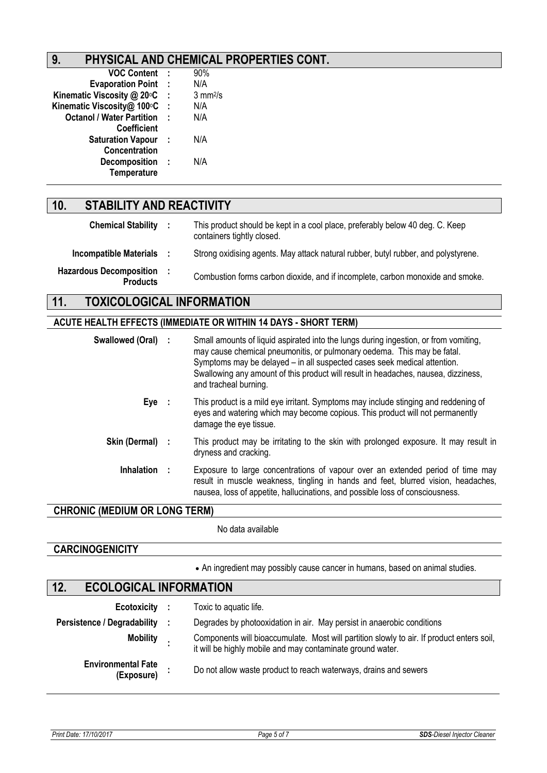# **9. PHYSICAL AND CHEMICAL PROPERTIES CONT.**

| <b>VOC Content</b>               |              | 90%                 |
|----------------------------------|--------------|---------------------|
| <b>Evaporation Point</b>         | $\mathbf{I}$ | N/A                 |
| Kinematic Viscosity @ 20°C       | ÷            | $3 \text{ mm}^2$ /s |
| Kinematic Viscosity@ 100°C       | ÷            | N/A                 |
| <b>Octanol / Water Partition</b> | J.           | N/A                 |
| Coefficient                      |              |                     |
| <b>Saturation Vapour</b>         |              | N/A                 |
| <b>Concentration</b>             |              |                     |
| <b>Decomposition</b>             | ÷            | N/A                 |
| Temperature                      |              |                     |
|                                  |              |                     |

# **10. STABILITY AND REACTIVITY**

| <b>Chemical Stability</b>                         | This product should be kept in a cool place, preferably below 40 deg. C. Keep<br>containers tightly closed. |
|---------------------------------------------------|-------------------------------------------------------------------------------------------------------------|
| <b>Incompatible Materials</b>                     | Strong oxidising agents. May attack natural rubber, butyl rubber, and polystyrene.                          |
| <b>Hazardous Decomposition</b><br><b>Products</b> | Combustion forms carbon dioxide, and if incomplete, carbon monoxide and smoke.                              |

# **11. TOXICOLOGICAL INFORMATION**

### **ACUTE HEALTH EFFECTS (IMMEDIATE OR WITHIN 14 DAYS - SHORT TERM)**

| Swallowed (Oral) : | Small amounts of liquid aspirated into the lungs during ingestion, or from vomiting,<br>may cause chemical pneumonitis, or pulmonary oedema. This may be fatal.<br>Symptoms may be delayed - in all suspected cases seek medical attention.<br>Swallowing any amount of this product will result in headaches, nausea, dizziness,<br>and tracheal burning. |
|--------------------|------------------------------------------------------------------------------------------------------------------------------------------------------------------------------------------------------------------------------------------------------------------------------------------------------------------------------------------------------------|
| Eye :              | This product is a mild eye irritant. Symptoms may include stinging and reddening of<br>eyes and watering which may become copious. This product will not permanently<br>damage the eye tissue.                                                                                                                                                             |
| Skin (Dermal) :    | This product may be irritating to the skin with prolonged exposure. It may result in<br>dryness and cracking.                                                                                                                                                                                                                                              |
| <b>Inhalation</b>  | Exposure to large concentrations of vapour over an extended period of time may<br>result in muscle weakness, tingling in hands and feet, blurred vision, headaches,<br>nausea, loss of appetite, hallucinations, and possible loss of consciousness.                                                                                                       |

### **CHRONIC (MEDIUM OR LONG TERM)**

No data available

#### **CARCINOGENICITY**

An ingredient may possibly cause cancer in humans, based on animal studies.

# **12. ECOLOGICAL INFORMATION**

| Ecotoxicity :                           | Toxic to aquatic life.                                                                                                                                  |
|-----------------------------------------|---------------------------------------------------------------------------------------------------------------------------------------------------------|
| <b>Persistence / Degradability</b>      | Degrades by photooxidation in air. May persist in anaerobic conditions                                                                                  |
| <b>Mobility</b>                         | Components will bioaccumulate. Most will partition slowly to air. If product enters soil,<br>it will be highly mobile and may contaminate ground water. |
| <b>Environmental Fate</b><br>(Exposure) | Do not allow waste product to reach waterways, drains and sewers                                                                                        |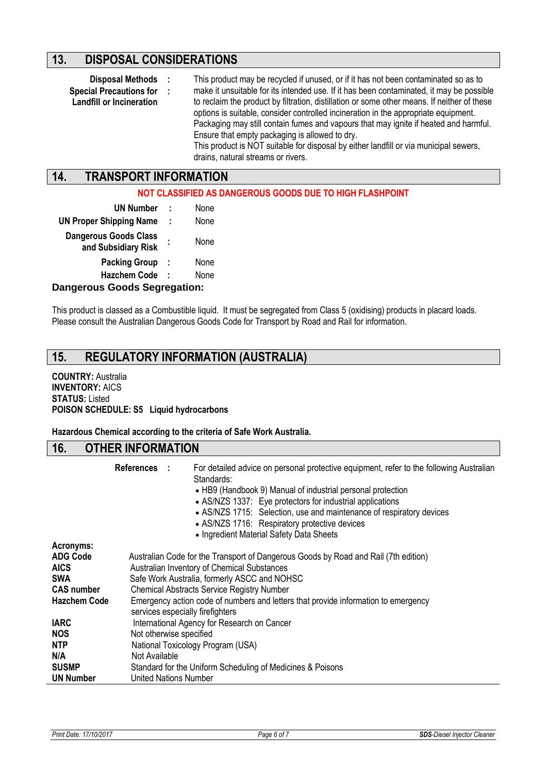## **13. DISPOSAL CONSIDERATIONS**

**:**

- 
- **Special Precautions for**
- **Landfill or Incineration**

**Disposal Methods :** This product may be recycled if unused, or if it has not been contaminated so as to make it unsuitable for its intended use. If it has been contaminated, it may be possible to reclaim the product by filtration, distillation or some other means. If neither of these options is suitable, consider controlled incineration in the appropriate equipment. Packaging may still contain fumes and vapours that may ignite if heated and harmful. Ensure that empty packaging is allowed to dry. This product is NOT suitable for disposal by either landfill or via municipal sewers, drains, natural streams or rivers.

# **14. TRANSPORT INFORMATION**

#### **NOT CLASSIFIED AS DANGEROUS GOODS DUE TO HIGH FLASHPOINT**

| <b>UN Number</b>                                    | ÷ | None |  |  |  |  |
|-----------------------------------------------------|---|------|--|--|--|--|
| <b>UN Proper Shipping Name</b>                      | ÷ | None |  |  |  |  |
| <b>Dangerous Goods Class</b><br>and Subsidiary Risk |   | None |  |  |  |  |
| <b>Packing Group</b>                                | ÷ | None |  |  |  |  |
| <b>Hazchem Code</b>                                 | I | None |  |  |  |  |
| Iangarous Goods Sagrapation:                        |   |      |  |  |  |  |

#### **Dangerous Goods Segregation:**

This product is classed as a Combustible liquid. It must be segregated from Class 5 (oxidising) products in placard loads. Please consult the Australian Dangerous Goods Code for Transport by Road and Rail for information.

# **15. REGULATORY INFORMATION (AUSTRALIA)**

#### **COUNTRY:** Australia **INVENTORY:** AICS **STATUS:** Listed **POISON SCHEDULE: S5 Liquid hydrocarbons**

**Hazardous Chemical according to the criteria of Safe Work Australia.**

#### **16. OTHER INFORMATION**

|                                                                                                       | References : | For detailed advice on personal protective equipment, refer to the following Australian<br>Standards:<br>• HB9 (Handbook 9) Manual of industrial personal protection<br>• AS/NZS 1337: Eye protectors for industrial applications<br>• AS/NZS 1715: Selection, use and maintenance of respiratory devices<br>• AS/NZS 1716: Respiratory protective devices<br>• Ingredient Material Safety Data Sheets |  |  |
|-------------------------------------------------------------------------------------------------------|--------------|--------------------------------------------------------------------------------------------------------------------------------------------------------------------------------------------------------------------------------------------------------------------------------------------------------------------------------------------------------------------------------------------------------|--|--|
| Acronyms:<br><b>ADG Code</b><br><b>AICS</b><br><b>SWA</b><br><b>CAS number</b><br><b>Hazchem Code</b> |              | Australian Code for the Transport of Dangerous Goods by Road and Rail (7th edition)<br>Australian Inventory of Chemical Substances<br>Safe Work Australia, formerly ASCC and NOHSC<br><b>Chemical Abstracts Service Registry Number</b><br>Emergency action code of numbers and letters that provide information to emergency<br>services especially firefighters                                      |  |  |
| <b>IARC</b><br><b>NOS</b><br><b>NTP</b><br>N/A<br><b>SUSMP</b><br><b>UN Number</b>                    |              | International Agency for Research on Cancer<br>Not otherwise specified<br>National Toxicology Program (USA)<br>Not Available<br>Standard for the Uniform Scheduling of Medicines & Poisons<br><b>United Nations Number</b>                                                                                                                                                                             |  |  |